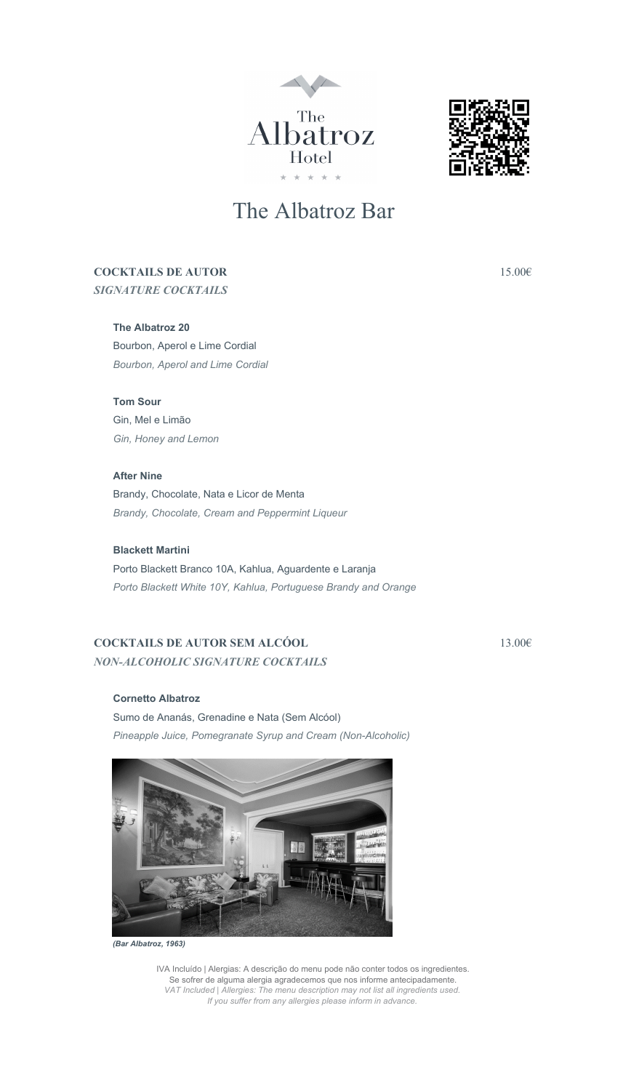



# The Albatroz Bar

# COCKTAILS DE AUTOR 15.00€

*SIGNATURE COCKTAILS*

#### The Albatroz 20

Bourbon, Aperol e Lime Cordial *Bourbon, Aperol and Lime Cordial*

# Tom Sour

Gin, Mel e Limão *Gin, Honey and Lemon*

After Nine Brandy, Chocolate, Nata e Licor de Menta *Brandy, Chocolate, Cream and Peppermint Liqueur*

# Blackett Martini

Porto Blackett Branco 10A, Kahlua, Aguardente e Laranja *Porto Blackett White 10Y, Kahlua, Portuguese Brandy and Orange*

# COCKTAILS DE AUTOR SEM ALCÓOL  $13.006$ *NON-ALCOHOLIC SIGNATURE COCKTAILS*

#### Cornetto Albatroz

Sumo de Ananás, Grenadine e Nata (Sem Alcóol) *Pineapple Juice, Pomegranate Syrup and Cream (Non-Alcoholic)* 



*(Bar Albatroz, 1963)*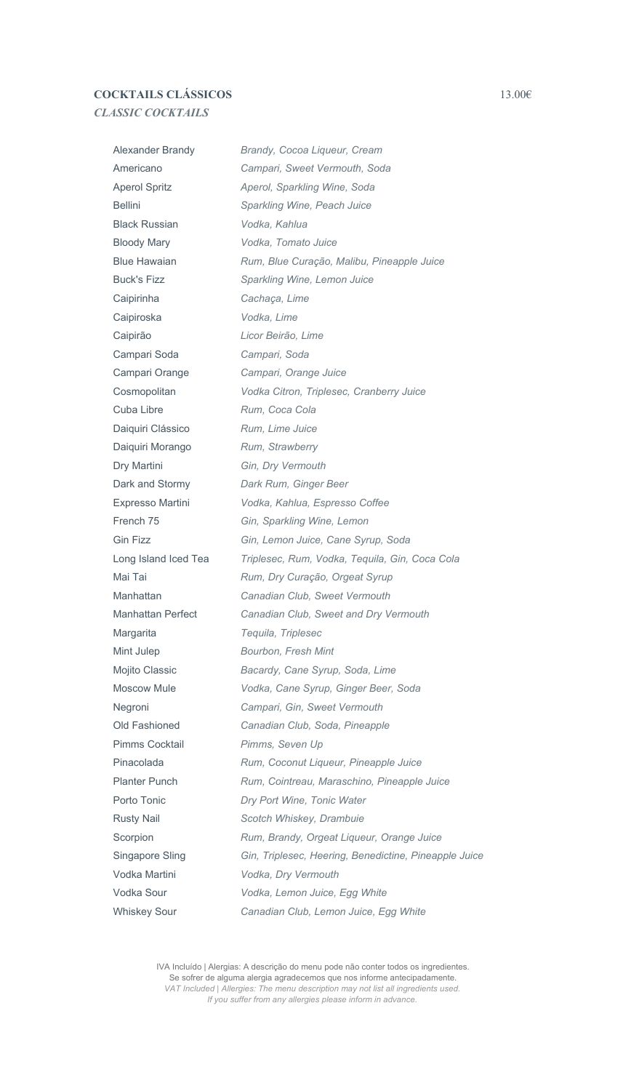# COCKTAILS CLÁSSICOS 13.00€ *CLASSIC COCKTAILS*

Alexander Brandy *Brandy, Cocoa Liqueur, Cream* Americano *Campari, Sweet Vermouth, Soda* Aperol Spritz *Aperol, Sparkling Wine, Soda* Bellini *Sparkling Wine, Peach Juice* Black Russian *Vodka, Kahlua* Bloody Mary *Vodka, Tomato Juice* Blue Hawaian *Rum, Blue Curação, Malibu, Pineapple Juice* Buck's Fizz *Sparkling Wine, Lemon Juice* Caipirinha *Cachaça, Lime* Caipiroska *Vodka, Lime* Caipirão *Licor Beirão, Lime* Campari Soda *Campari, Soda* Campari Orange *Campari, Orange Juice* Cosmopolitan *Vodka Citron, Triplesec, Cranberry Juice* Cuba Libre *Rum, Coca Cola* Daiquiri Clássico *Rum, Lime Juice* Daiquiri Morango *Rum, Strawberry* Dry Martini *Gin, Dry Vermouth* Dark and Stormy *Dark Rum, Ginger Beer* Expresso Martini *Vodka, Kahlua, Espresso Coffee* French 75 *Gin, Sparkling Wine, Lemon* Gin Fizz *Gin, Lemon Juice, Cane Syrup, Soda* Long Island Iced Tea *Triplesec, Rum, Vodka, Tequila, Gin, Coca Cola* Mai Tai *Rum, Dry Curação, Orgeat Syrup* Manhattan *Canadian Club, Sweet Vermouth* Manhattan Perfect *Canadian Club, Sweet and Dry Vermouth* Margarita *Tequila, Triplesec* Mint Julep *Bourbon, Fresh Mint* Mojito Classic *Bacardy, Cane Syrup, Soda, Lime* Moscow Mule *Vodka, Cane Syrup, Ginger Beer, Soda* Negroni *Campari, Gin, Sweet Vermouth* Old Fashioned *Canadian Club, Soda, Pineapple* Pimms Cocktail *Pimms, Seven Up* Pinacolada *Rum, Coconut Liqueur, Pineapple Juice* Planter Punch *Rum, Cointreau, Maraschino, Pineapple Juice* Porto Tonic *Dry Port Wine, Tonic Water* Rusty Nail *Scotch Whiskey, Drambuie* Scorpion *Rum, Brandy, Orgeat Liqueur, Orange Juice* Singapore Sling *Gin, Triplesec, Heering, Benedictine, Pineapple Juice* Vodka Martini *Vodka, Dry Vermouth* Vodka Sour *Vodka, Lemon Juice, Egg White* Whiskey Sour *Canadian Club, Lemon Juice, Egg White*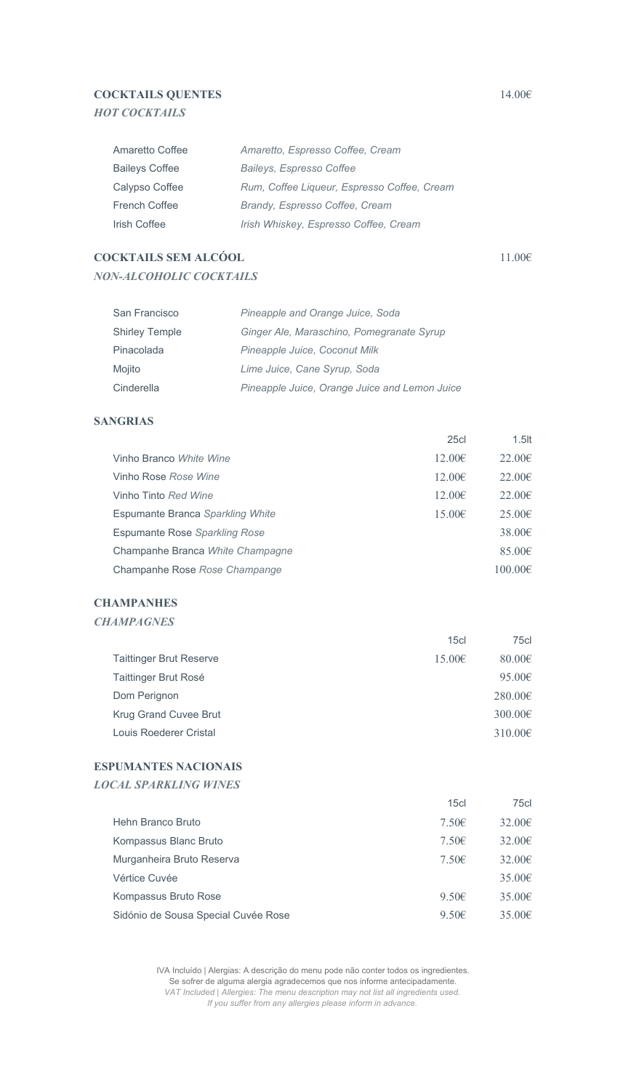# COCKTAILS OUENTES  $14.006$ *HOT COCKTAILS*

| Amaretto Coffee       | Amaretto, Espresso Coffee, Cream            |
|-----------------------|---------------------------------------------|
| <b>Baileys Coffee</b> | Baileys, Espresso Coffee                    |
| Calypso Coffee        | Rum, Coffee Liqueur, Espresso Coffee, Cream |
| French Coffee         | Brandy, Espresso Coffee, Cream              |
| Irish Coffee          | Irish Whiskey, Espresso Coffee, Cream       |

# COCKTAILS SEM ALCÓOL 11.00€ *NON-ALCOHOLIC COCKTAILS*

| San Francisco         | Pineapple and Orange Juice, Soda              |
|-----------------------|-----------------------------------------------|
| <b>Shirley Temple</b> | Ginger Ale, Maraschino, Pomegranate Syrup     |
| Pinacolada            | Pineapple Juice, Coconut Milk                 |
| Mojito                | Lime Juice, Cane Syrup, Soda                  |
| Cinderella            | Pineapple Juice, Orange Juice and Lemon Juice |

# SANGRIAS

|                                  | 25c         | $1.5$ lt     |
|----------------------------------|-------------|--------------|
| Vinho Branco White Wine          | $12.00 \in$ | $22.00 \in$  |
| Vinho Rose Rose Wine             | $12.00 \in$ | $22.00 \in$  |
| Vinho Tinto Red Wine             | $12.00 \in$ | $22.00 \in$  |
| Espumante Branca Sparkling White | 15.00€      | $25.00 \in$  |
| Espumante Rose Sparkling Rose    |             | $38.00 \in$  |
| Champanhe Branca White Champagne |             | 85.00€       |
| Champanhe Rose Rose Champange    |             | $100.00 \in$ |

#### **CHAMPANHES**

#### *CHAMPAGNES*

|                                | 15c         | 75cl                |
|--------------------------------|-------------|---------------------|
| <b>Taittinger Brut Reserve</b> | $15.00 \in$ | 80.00 $\varepsilon$ |
| Taittinger Brut Rosé           |             | 95.00 $\in$         |
| Dom Perignon                   |             | $280.00 \in$        |
| Krug Grand Cuvee Brut          |             | $300.00 \in$        |
| Louis Roederer Cristal         |             | $310.00 \in$        |

# ESPUMANTES NACIONAIS

*LOCAL SPARKLING WINES*

|                                     | 15c   | 75cl   |
|-------------------------------------|-------|--------|
| Hehn Branco Bruto                   | 7.50E | 32.006 |
| Kompassus Blanc Bruto               | 7.50E | 32.006 |
| Murganheira Bruto Reserva           | 7.50E | 32.006 |
| Vértice Cuvée                       |       | 35.006 |
| Kompassus Bruto Rose                | 9.50E | 35.006 |
| Sidónio de Sousa Special Cuvée Rose | 9.50E | 35.006 |
|                                     |       |        |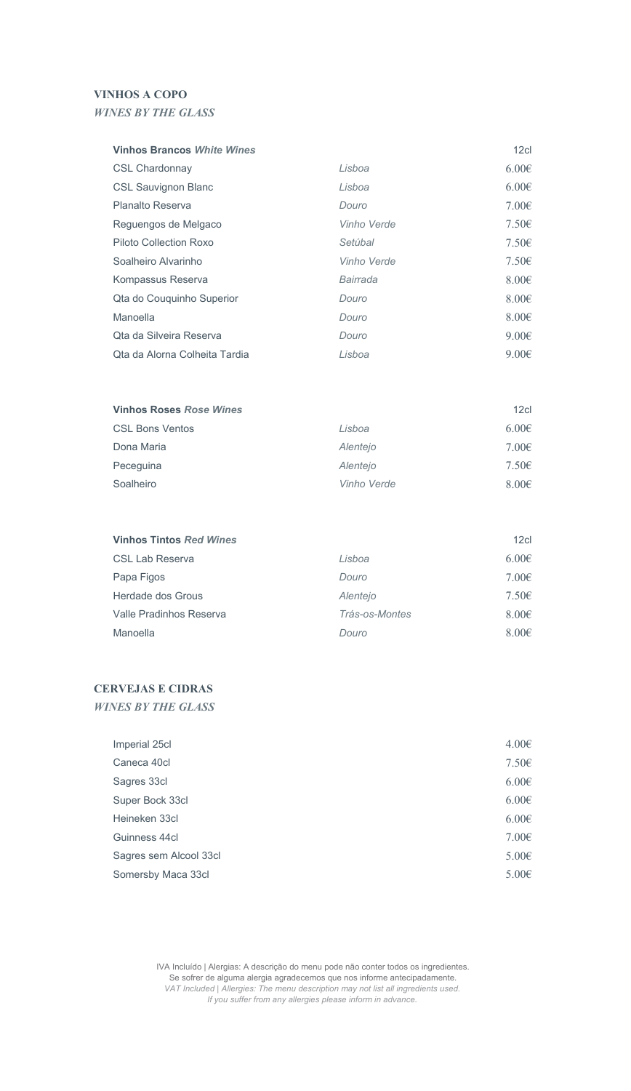## VINHOS A COPO

# *WINES BY THE GLASS*

#### **Vinhos Brancos White Wines** 12cl

| <b>CSL Chardonnay</b>         | Lisboa      | $6.00 \in$      |
|-------------------------------|-------------|-----------------|
| <b>CSL Sauvignon Blanc</b>    | Lisboa      | $6.00 \in$      |
| Planalto Reserva              | Douro       | 7.00 $\in$      |
| Reguengos de Melgaco          | Vinho Verde | 7.50E           |
| Piloto Collection Roxo        | Setúbal     | 7.50E           |
| Soalheiro Alvarinho           | Vinho Verde | 7.50E           |
| Kompassus Reserva             | Bairrada    | $8.00 \epsilon$ |
| Qta do Couquinho Superior     | Douro       | $8.00 \epsilon$ |
| Manoella                      | Douro       | $8.00 \epsilon$ |
| Qta da Silveira Reserva       | Douro       | $9.00 \epsilon$ |
| Ota da Alorna Colheita Tardia | Lisboa      | $9.00 \epsilon$ |

| <b>Vinhos Roses Rose Wines</b> |             | 12 <sub>cl</sub> |
|--------------------------------|-------------|------------------|
| <b>CSL Bons Ventos</b>         | Lisboa      | 6.00E            |
| Dona Maria                     | Alentejo    | 7.00E            |
| Peceguina                      | Alentejo    | 7.50E            |
| Soalheiro                      | Vinho Verde | $8.00 \epsilon$  |

| <b>Vinhos Tintos Red Wines</b> |                | 12 <sub>cl</sub> |
|--------------------------------|----------------|------------------|
| CSL Lab Reserva                | Lisboa         | $6.00 \in$       |
| Papa Figos                     | Douro          | 7.00E            |
| Herdade dos Grous              | Alentejo       | 7.50E            |
| Valle Pradinhos Reserva        | Trás-os-Montes | $8.00 \epsilon$  |
| Manoella                       | Douro          | $8.00 \in$       |

# CERVEJAS E CIDRAS

*WINES BY THE GLASS*

| Imperial 25cl          | 4.00€      |
|------------------------|------------|
| Caneca 40cl            | 7.50E      |
| Sagres 33cl            | 6.006      |
| Super Bock 33cl        | $6.00 \in$ |
| Heineken 33cl          | 6.006      |
| Guinness 44cl          | $7.00 \in$ |
| Sagres sem Alcool 33cl | 5.006      |
| Somersby Maca 33cl     | 5.006      |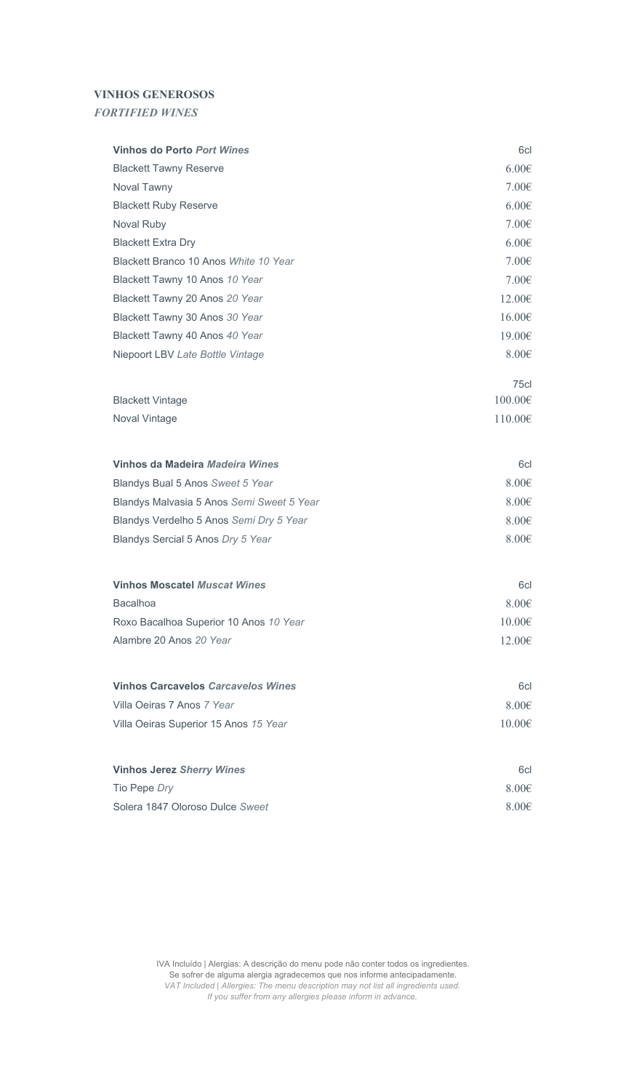# VINHOS GENEROSOS

*FORTIFIED WINES*

| <b>Vinhos do Porto Port Wines</b>         | 6cl             |
|-------------------------------------------|-----------------|
| <b>Blackett Tawny Reserve</b>             | 6.00E           |
| Noval Tawny                               | 7.00E           |
| <b>Blackett Ruby Reserve</b>              | 6.00E           |
| Noval Ruby                                | 7.00€           |
| <b>Blackett Extra Dry</b>                 | 6.00E           |
| Blackett Branco 10 Anos White 10 Year     | 7.00E           |
| Blackett Tawny 10 Anos 10 Year            | 7.00€           |
| Blackett Tawny 20 Anos 20 Year            | 12.00€          |
| Blackett Tawny 30 Anos 30 Year            | 16.00€          |
| Blackett Tawny 40 Anos 40 Year            | 19.00€          |
| Niepoort LBV Late Bottle Vintage          | $8.00 \in$      |
|                                           | 75cl            |
| <b>Blackett Vintage</b>                   | $100.00 \in$    |
| Noval Vintage                             | 110.00€         |
| Vinhos da Madeira Madeira Wines           | 6cl             |
| Blandys Bual 5 Anos Sweet 5 Year          | $8.00 \in$      |
| Blandys Malvasia 5 Anos Semi Sweet 5 Year | $8.00 \epsilon$ |
| Blandys Verdelho 5 Anos Semi Dry 5 Year   | $8.00 \in$      |
| Blandys Sercial 5 Anos Dry 5 Year         | $8.00 \in$      |
| <b>Vinhos Moscatel Muscat Wines</b>       | 6cl             |
| Bacalhoa                                  | $8.00 \epsilon$ |
| Roxo Bacalhoa Superior 10 Anos 10 Year    | $10.00 \in$     |
| Alambre 20 Anos 20 Year                   | 12.00€          |
|                                           |                 |
| <b>Vinhos Carcavelos Carcavelos Wines</b> | 6cl             |
| Villa Oeiras 7 Anos 7 Year                | 8.00€           |
| Villa Oeiras Superior 15 Anos 15 Year     | $10.00 \in$     |
| <b>Vinhos Jerez Sherry Wines</b>          | 6cl             |
| Tio Pepe Dry                              | $8.00 \in$      |
| Solera 1847 Oloroso Dulce Sweet           | $8.00 \in$      |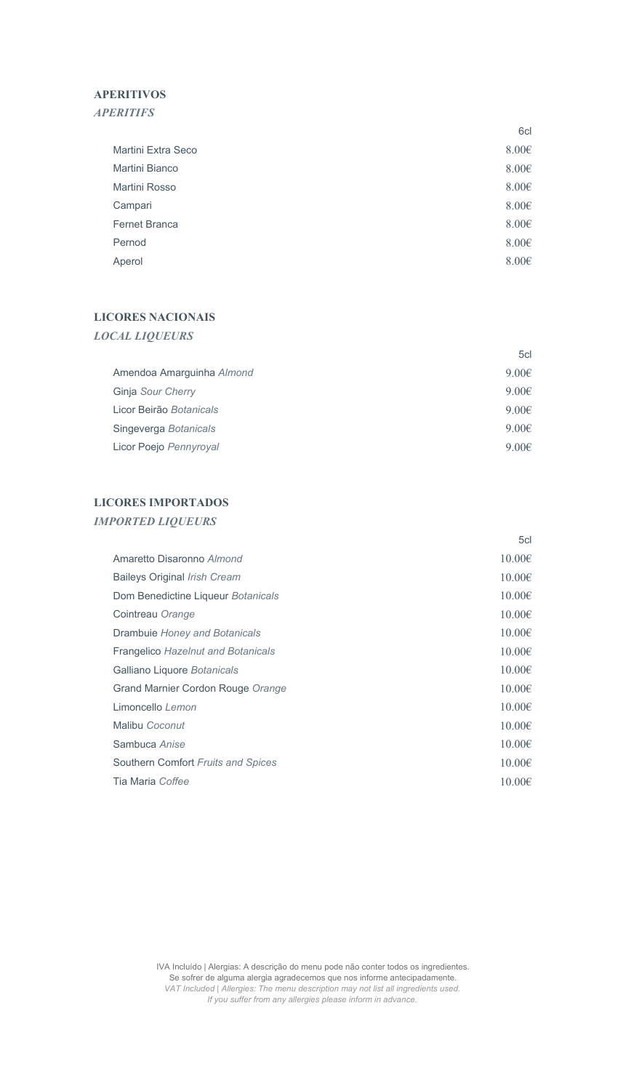# APERITIVOS

# *APERITIFS*

|                      | 6cl        |
|----------------------|------------|
| Martini Extra Seco   | 8.006      |
| Martini Bianco       | 8.006      |
| Martini Rosso        | 8.006      |
| Campari              | 8.006      |
| <b>Fernet Branca</b> | 8.006      |
| Pernod               | $8.00 \in$ |
| Aperol               | $8.00 \in$ |

# LICORES NACIONAIS

| <b>LOCAL LIQUEURS</b> |  |
|-----------------------|--|
|-----------------------|--|

|                           | 5cl        |
|---------------------------|------------|
| Amendoa Amarguinha Almond | $9.00 \in$ |
| Ginja Sour Cherry         | $9.00 \in$ |
| Licor Beirão Botanicals   | $9.00 \in$ |
| Singeverga Botanicals     | $9.00 \in$ |
| Licor Poejo Pennyroyal    | $9.00 \in$ |

# LICORES IMPORTADOS *IMPORTED LIQUEURS*

|                                           | 5cl         |
|-------------------------------------------|-------------|
| Amaretto Disaronno Almond                 | $10.00 \in$ |
| Baileys Original Irish Cream              | $10.00 \in$ |
| Dom Benedictine Liqueur Botanicals        | $10.00 \in$ |
| Cointreau Orange                          | $10.00 \in$ |
| Drambuie Honey and Botanicals             | $10.00 \in$ |
| <b>Frangelico Hazelnut and Botanicals</b> | $10.00 \in$ |
| Galliano Liquore Botanicals               | $10.00 \in$ |
| Grand Marnier Cordon Rouge Orange         | $10.00 \in$ |
| Limoncello Lemon                          | $10.00 \in$ |
| Malibu Coconut                            | $10.00 \in$ |
| Sambuca Anise                             | $10.00 \in$ |
| Southern Comfort Fruits and Spices        | $10.00 \in$ |
| Tia Maria Coffee                          | $10.00 \in$ |
|                                           |             |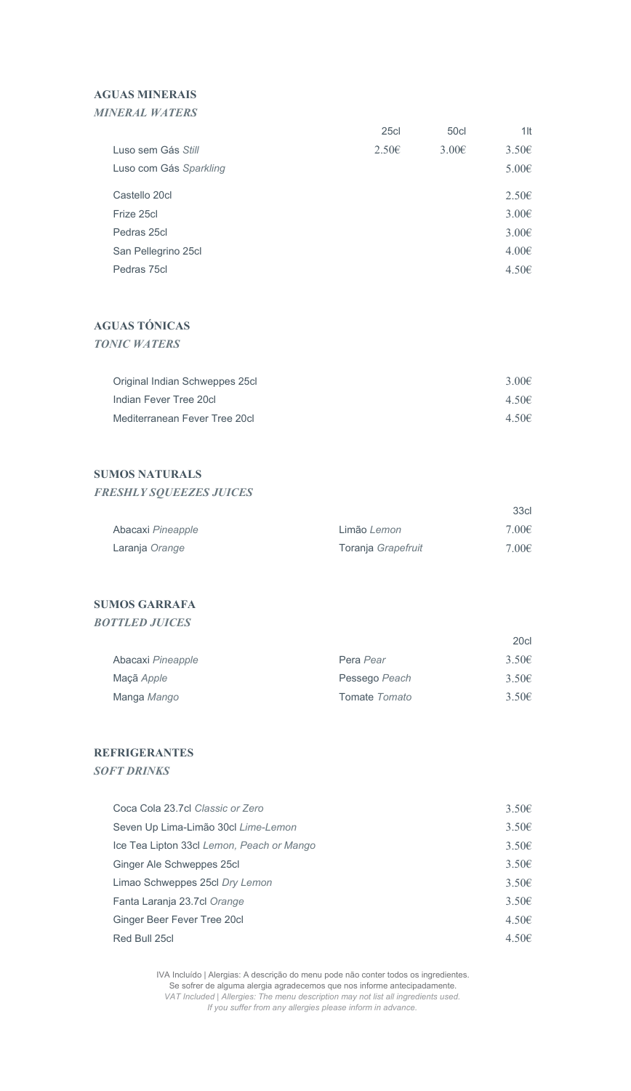# AGUAS MINERAIS

| <b>MINERAL WATERS</b>  |                   |                  |        |
|------------------------|-------------------|------------------|--------|
|                        | 25c               | 50 <sub>cl</sub> | $1$ lt |
| Luso sem Gás Still     | 2.50 <sub>€</sub> | $3.00 \in$       | 3.506  |
| Luso com Gás Sparkling |                   |                  | 5.006  |
| Castello 20cl          |                   |                  | 2.506  |
| Frize 25cl             |                   |                  | 3.006  |
| Pedras 25cl            |                   |                  | 3.006  |
| San Pellegrino 25cl    |                   |                  | 4.006  |
| Pedras 75cl            |                   |                  | 4.506  |
|                        |                   |                  |        |

# AGUAS TÓNICAS

*TONIC WATERS*

| Original Indian Schweppes 25cl | $3.00 \in$ |
|--------------------------------|------------|
| Indian Fever Tree 20cl         | 4.50€      |
| Mediterranean Fever Tree 20cl  | 4.50€      |

# SUMOS NATURALS

*FRESHLY SQUEEZES JUICES*

|                   |                    | 33 <sub>cl</sub> |
|-------------------|--------------------|------------------|
| Abacaxi Pineapple | Limão Lemon        | 7.00E            |
| Laranja Orange    | Toranja Grapefruit | 7.00E            |

# SUMOS GARRAFA

*BOTTLED JUICES*

|                   |                      | 20cl           |
|-------------------|----------------------|----------------|
| Abacaxi Pineapple | Pera Pear            | $3.50\epsilon$ |
| Maçã Apple        | Pessego Peach        | $3.50\epsilon$ |
| Manga Mango       | Tomate <i>Tomato</i> | $3.50\epsilon$ |

#### REFRIGERANTES

*SOFT DRINKS*

| Coca Cola 23.7cl Classic or Zero          | 3.50E |
|-------------------------------------------|-------|
| Seven Up Lima-Limão 30cl Lime-Lemon       | 3.50E |
| Ice Tea Lipton 33cl Lemon, Peach or Mango | 3.50E |
| Ginger Ale Schweppes 25cl                 | 3.50E |
| Limao Schweppes 25cl Dry Lemon            | 3.50E |
| Fanta Laranja 23.7cl Orange               | 3.50E |
| Ginger Beer Fever Tree 20cl               | 4.50E |
| Red Bull 25cl                             | 4.50E |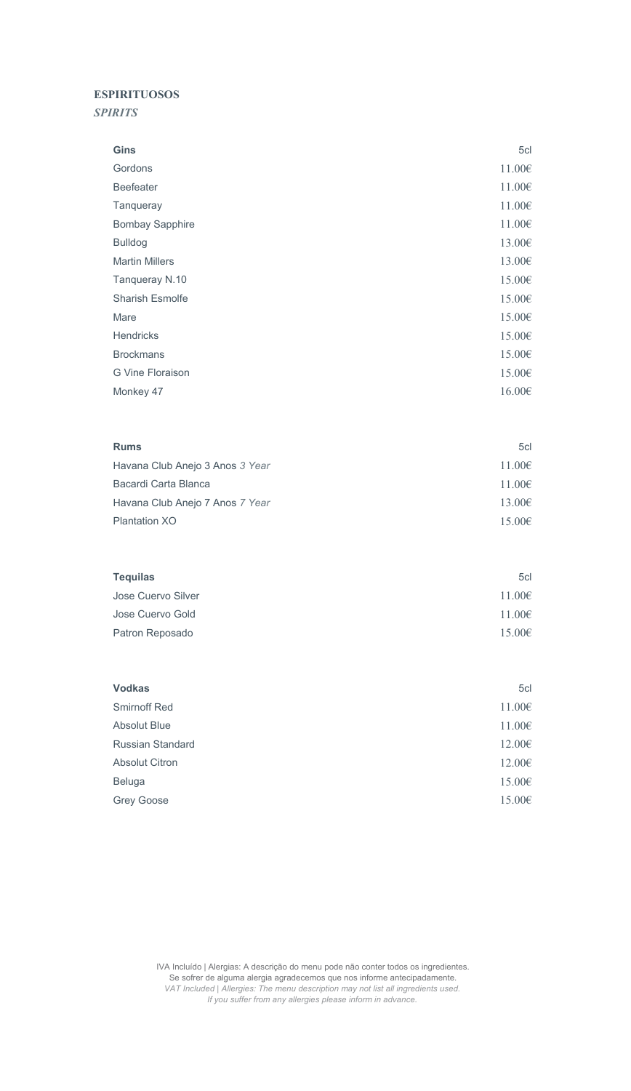# ESPIRITUOSOS

*SPIRITS*

| Gordons<br>$11.00 \in$<br>Beefeater<br>11.00€<br>11.00€<br>Tanqueray<br>11.00€<br><b>Bombay Sapphire</b><br><b>Bulldog</b><br>13.00€<br><b>Martin Millers</b><br>13.00€<br>$15.00 \in$<br>Tanqueray N.10<br><b>Sharish Esmolfe</b><br>15.00€<br>15.00€<br>Mare<br><b>Hendricks</b><br>15.00€<br><b>Brockmans</b><br>15.00€<br>G Vine Floraison<br>15.00€<br>16.00€<br>Monkey 47<br><b>Rums</b><br>5cl<br>11.00€<br>Havana Club Anejo 3 Anos 3 Year<br>Bacardi Carta Blanca<br>11.00€<br>13.00€<br>Havana Club Anejo 7 Anos 7 Year<br>Plantation XO<br>15.00€<br><b>Tequilas</b><br>5cl<br>Jose Cuervo Silver<br>11.00€<br>11.00€<br>Jose Cuervo Gold<br>15.00€<br>Patron Reposado<br><b>Vodkas</b><br>5cl<br><b>Smirnoff Red</b><br>11.00€<br>$11.00\epsilon$<br><b>Absolut Blue</b><br>Russian Standard<br>12.00€<br>12.00€<br><b>Absolut Citron</b><br>Beluga<br>15.00€<br>15.00€<br>Grey Goose | Gins | 5cl |
|---------------------------------------------------------------------------------------------------------------------------------------------------------------------------------------------------------------------------------------------------------------------------------------------------------------------------------------------------------------------------------------------------------------------------------------------------------------------------------------------------------------------------------------------------------------------------------------------------------------------------------------------------------------------------------------------------------------------------------------------------------------------------------------------------------------------------------------------------------------------------------------------------|------|-----|
|                                                                                                                                                                                                                                                                                                                                                                                                                                                                                                                                                                                                                                                                                                                                                                                                                                                                                                   |      |     |
|                                                                                                                                                                                                                                                                                                                                                                                                                                                                                                                                                                                                                                                                                                                                                                                                                                                                                                   |      |     |
|                                                                                                                                                                                                                                                                                                                                                                                                                                                                                                                                                                                                                                                                                                                                                                                                                                                                                                   |      |     |
|                                                                                                                                                                                                                                                                                                                                                                                                                                                                                                                                                                                                                                                                                                                                                                                                                                                                                                   |      |     |
|                                                                                                                                                                                                                                                                                                                                                                                                                                                                                                                                                                                                                                                                                                                                                                                                                                                                                                   |      |     |
|                                                                                                                                                                                                                                                                                                                                                                                                                                                                                                                                                                                                                                                                                                                                                                                                                                                                                                   |      |     |
|                                                                                                                                                                                                                                                                                                                                                                                                                                                                                                                                                                                                                                                                                                                                                                                                                                                                                                   |      |     |
|                                                                                                                                                                                                                                                                                                                                                                                                                                                                                                                                                                                                                                                                                                                                                                                                                                                                                                   |      |     |
|                                                                                                                                                                                                                                                                                                                                                                                                                                                                                                                                                                                                                                                                                                                                                                                                                                                                                                   |      |     |
|                                                                                                                                                                                                                                                                                                                                                                                                                                                                                                                                                                                                                                                                                                                                                                                                                                                                                                   |      |     |
|                                                                                                                                                                                                                                                                                                                                                                                                                                                                                                                                                                                                                                                                                                                                                                                                                                                                                                   |      |     |
|                                                                                                                                                                                                                                                                                                                                                                                                                                                                                                                                                                                                                                                                                                                                                                                                                                                                                                   |      |     |
|                                                                                                                                                                                                                                                                                                                                                                                                                                                                                                                                                                                                                                                                                                                                                                                                                                                                                                   |      |     |
|                                                                                                                                                                                                                                                                                                                                                                                                                                                                                                                                                                                                                                                                                                                                                                                                                                                                                                   |      |     |
|                                                                                                                                                                                                                                                                                                                                                                                                                                                                                                                                                                                                                                                                                                                                                                                                                                                                                                   |      |     |
|                                                                                                                                                                                                                                                                                                                                                                                                                                                                                                                                                                                                                                                                                                                                                                                                                                                                                                   |      |     |
|                                                                                                                                                                                                                                                                                                                                                                                                                                                                                                                                                                                                                                                                                                                                                                                                                                                                                                   |      |     |
|                                                                                                                                                                                                                                                                                                                                                                                                                                                                                                                                                                                                                                                                                                                                                                                                                                                                                                   |      |     |
|                                                                                                                                                                                                                                                                                                                                                                                                                                                                                                                                                                                                                                                                                                                                                                                                                                                                                                   |      |     |
|                                                                                                                                                                                                                                                                                                                                                                                                                                                                                                                                                                                                                                                                                                                                                                                                                                                                                                   |      |     |
|                                                                                                                                                                                                                                                                                                                                                                                                                                                                                                                                                                                                                                                                                                                                                                                                                                                                                                   |      |     |
|                                                                                                                                                                                                                                                                                                                                                                                                                                                                                                                                                                                                                                                                                                                                                                                                                                                                                                   |      |     |
|                                                                                                                                                                                                                                                                                                                                                                                                                                                                                                                                                                                                                                                                                                                                                                                                                                                                                                   |      |     |
|                                                                                                                                                                                                                                                                                                                                                                                                                                                                                                                                                                                                                                                                                                                                                                                                                                                                                                   |      |     |
|                                                                                                                                                                                                                                                                                                                                                                                                                                                                                                                                                                                                                                                                                                                                                                                                                                                                                                   |      |     |
|                                                                                                                                                                                                                                                                                                                                                                                                                                                                                                                                                                                                                                                                                                                                                                                                                                                                                                   |      |     |
|                                                                                                                                                                                                                                                                                                                                                                                                                                                                                                                                                                                                                                                                                                                                                                                                                                                                                                   |      |     |
|                                                                                                                                                                                                                                                                                                                                                                                                                                                                                                                                                                                                                                                                                                                                                                                                                                                                                                   |      |     |
|                                                                                                                                                                                                                                                                                                                                                                                                                                                                                                                                                                                                                                                                                                                                                                                                                                                                                                   |      |     |
|                                                                                                                                                                                                                                                                                                                                                                                                                                                                                                                                                                                                                                                                                                                                                                                                                                                                                                   |      |     |
|                                                                                                                                                                                                                                                                                                                                                                                                                                                                                                                                                                                                                                                                                                                                                                                                                                                                                                   |      |     |
|                                                                                                                                                                                                                                                                                                                                                                                                                                                                                                                                                                                                                                                                                                                                                                                                                                                                                                   |      |     |
|                                                                                                                                                                                                                                                                                                                                                                                                                                                                                                                                                                                                                                                                                                                                                                                                                                                                                                   |      |     |
|                                                                                                                                                                                                                                                                                                                                                                                                                                                                                                                                                                                                                                                                                                                                                                                                                                                                                                   |      |     |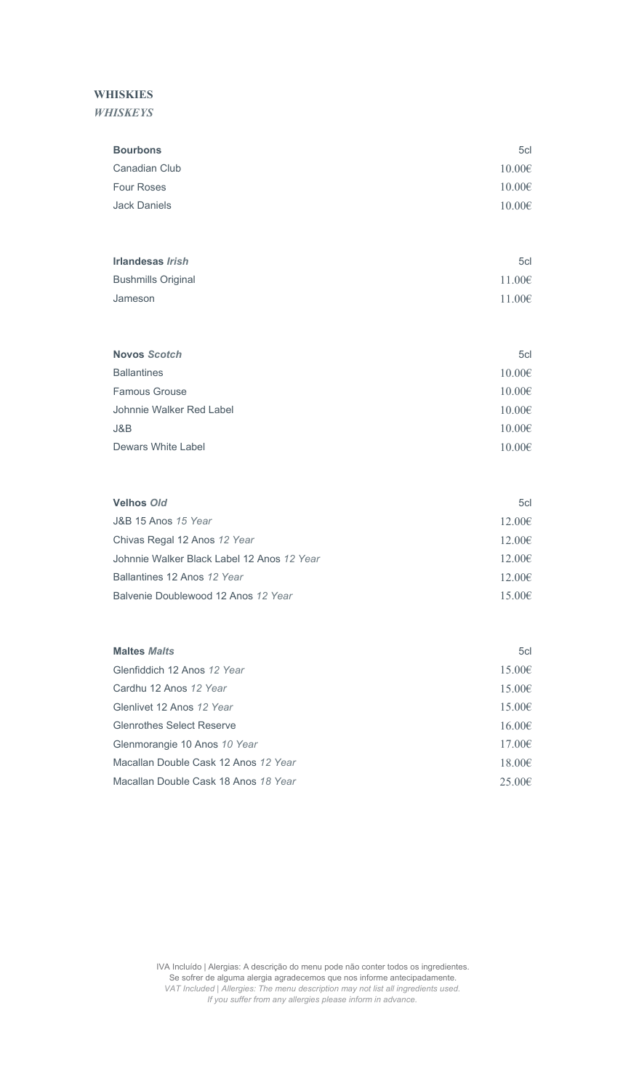# **WHISKIES**

#### *WHISKEYS*

| <b>Bourbons</b>                            | 5cl    |
|--------------------------------------------|--------|
| <b>Canadian Club</b>                       | 10.00€ |
| <b>Four Roses</b>                          | 10.00€ |
| <b>Jack Daniels</b>                        | 10.00€ |
|                                            |        |
| <b>Irlandesas Irish</b>                    | 5cl    |
| <b>Bushmills Original</b>                  | 11.00€ |
| Jameson                                    | 11.00€ |
|                                            |        |
| <b>Novos Scotch</b>                        | 5cl    |
| <b>Ballantines</b>                         | 10.00€ |
| <b>Famous Grouse</b>                       | 10.00€ |
| Johnnie Walker Red Label                   | 10.00€ |
| J&B                                        | 10.00€ |
| Dewars White Label                         | 10.00€ |
|                                            |        |
| <b>Velhos Old</b>                          | 5cl    |
| J&B 15 Anos 15 Year                        | 12.00€ |
| Chivas Regal 12 Anos 12 Year               | 12.00€ |
| Johnnie Walker Black Label 12 Anos 12 Year | 12.00€ |

| Ballantines 12 Anos 12 Year         | 12.006 |
|-------------------------------------|--------|
| Balvenie Doublewood 12 Anos 12 Year | 15.006 |

| <b>Maltes Malts</b>                  | 5c <sub>l</sub> |
|--------------------------------------|-----------------|
| Glenfiddich 12 Anos 12 Year          | $15.00 \in$     |
| Cardhu 12 Anos 12 Year               | $15.00 \in$     |
| Glenlivet 12 Anos 12 Year            | 15.00€          |
| <b>Glenrothes Select Reserve</b>     | 16.00€          |
| Glenmorangie 10 Anos 10 Year         | 17.00€          |
| Macallan Double Cask 12 Anos 12 Year | 18.00€          |
| Macallan Double Cask 18 Anos 18 Year | $25.00 \in$     |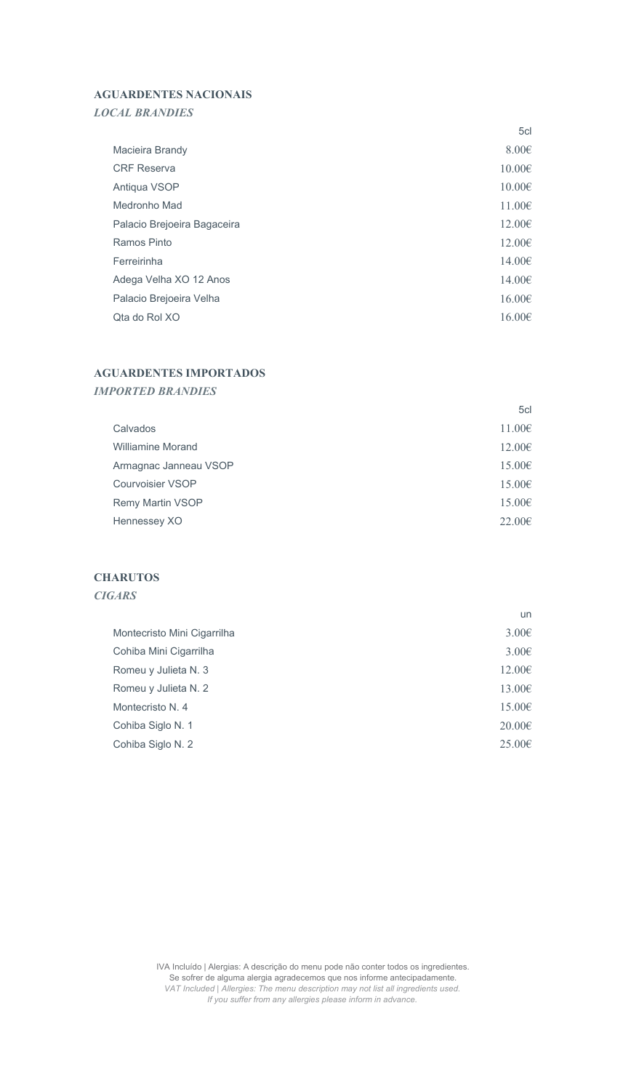# AGUARDENTES NACIONAIS

# *LOCAL BRANDIES*

|                             | 5cl             |
|-----------------------------|-----------------|
| Macieira Brandy             | $8.00 \epsilon$ |
| <b>CRF Reserva</b>          | $10.00 \in$     |
| Antiqua VSOP                | $10.00 \in$     |
| Medronho Mad                | 11.00E          |
| Palacio Brejoeira Bagaceira | $12.00 \in$     |
| Ramos Pinto                 | $12.00 \in$     |
| Ferreirinha                 | 14.00€          |
| Adega Velha XO 12 Anos      | 14.00€          |
| Palacio Brejoeira Velha     | 16.00E          |
| Qta do Rol XO               | $16.00 \in$     |

# AGUARDENTES IMPORTADOS

#### *IMPORTED BRANDIES*

|                          | 5cl         |
|--------------------------|-------------|
| Calvados                 | 11.00€      |
| <b>Williamine Morand</b> | $12.00 \in$ |
| Armagnac Janneau VSOP    | $15.00 \in$ |
| <b>Courvoisier VSOP</b>  | $15.00 \in$ |
| <b>Remy Martin VSOP</b>  | $15.00 \in$ |
| Hennessey XO             | $22.00 \in$ |

# **CHARUTOS**

# *CIGARS*

|                             | un          |
|-----------------------------|-------------|
| Montecristo Mini Cigarrilha | $3.00 \in$  |
| Cohiba Mini Cigarrilha      | 3.00E       |
| Romeu y Julieta N. 3        | 12.00€      |
| Romeu y Julieta N. 2        | 13.00€      |
| Montecristo N. 4            | 15.00€      |
| Cohiba Siglo N. 1           | $20.00 \in$ |
| Cohiba Siglo N. 2           | $25.00 \in$ |